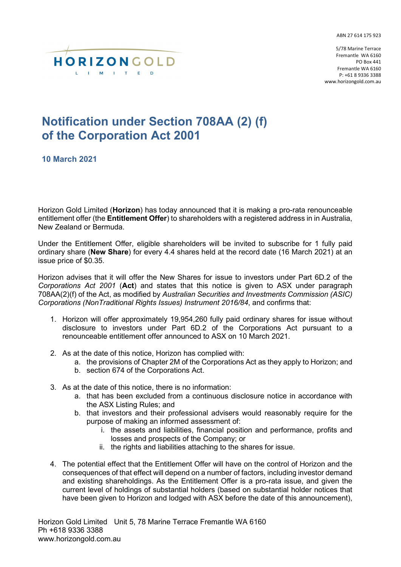ABN 27 614 175 923



5/78 Marine Terrace Fremantle WA 6160 PO Box 441 Fremantle WA 6160 P: +61 8 9336 3388 www.horizongold.com.au

## **Notification under Section 708AA (2) (f) of the Corporation Act 2001**

**10 March 2021**

Horizon Gold Limited (**Horizon**) has today announced that it is making a pro-rata renounceable entitlement offer (the **Entitlement Offer**) to shareholders with a registered address in in Australia, New Zealand or Bermuda.

Under the Entitlement Offer, eligible shareholders will be invited to subscribe for 1 fully paid ordinary share (**New Share**) for every 4.4 shares held at the record date (16 March 2021) at an issue price of \$0.35.

Horizon advises that it will offer the New Shares for issue to investors under Part 6D.2 of the *Corporations Act 2001* (**Act**) and states that this notice is given to ASX under paragraph 708AA(2)(f) of the Act, as modified by *Australian Securities and Investments Commission (ASIC) Corporations (NonTraditional Rights Issues) Instrument 2016/84*, and confirms that:

- 1. Horizon will offer approximately 19,954,260 fully paid ordinary shares for issue without disclosure to investors under Part 6D.2 of the Corporations Act pursuant to a renounceable entitlement offer announced to ASX on 10 March 2021.
- 2. As at the date of this notice, Horizon has complied with:
	- a. the provisions of Chapter 2M of the Corporations Act as they apply to Horizon; and
	- b. section 674 of the Corporations Act.
- 3. As at the date of this notice, there is no information:
	- a. that has been excluded from a continuous disclosure notice in accordance with the ASX Listing Rules; and
	- b. that investors and their professional advisers would reasonably require for the purpose of making an informed assessment of:
		- i. the assets and liabilities, financial position and performance, profits and losses and prospects of the Company; or
		- ii. the rights and liabilities attaching to the shares for issue.
- 4. The potential effect that the Entitlement Offer will have on the control of Horizon and the consequences of that effect will depend on a number of factors, including investor demand and existing shareholdings. As the Entitlement Offer is a pro-rata issue, and given the current level of holdings of substantial holders (based on substantial holder notices that have been given to Horizon and lodged with ASX before the date of this announcement),